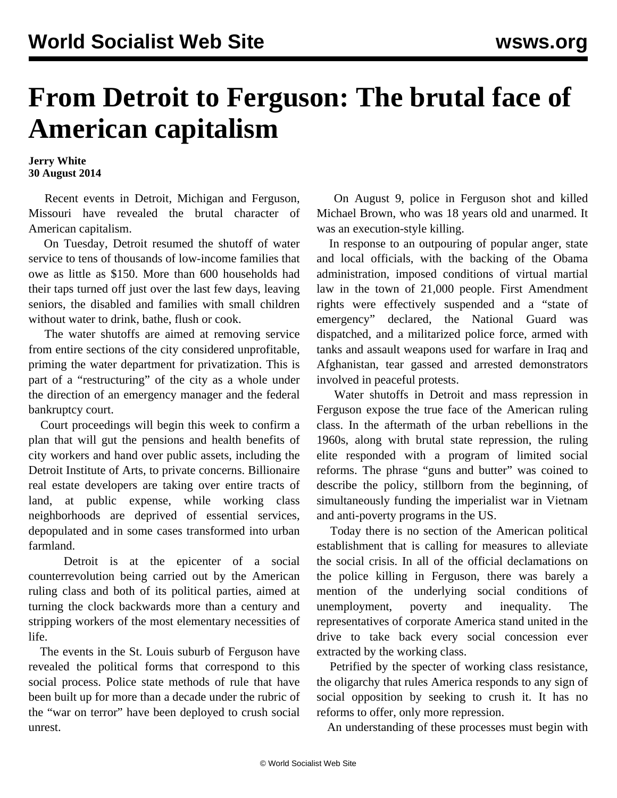## **From Detroit to Ferguson: The brutal face of American capitalism**

**Jerry White 30 August 2014**

 Recent events in Detroit, Michigan and Ferguson, Missouri have revealed the brutal character of American capitalism.

 On Tuesday, Detroit resumed the shutoff of water service to tens of thousands of low-income families that owe as little as \$150. More than 600 households had their taps turned off just over the last few days, leaving seniors, the disabled and families with small children without water to drink, bathe, flush or cook.

 The water shutoffs are aimed at removing service from entire sections of the city considered unprofitable, priming the water department for privatization. This is part of a "restructuring" of the city as a whole under the direction of an emergency manager and the federal bankruptcy court.

 Court proceedings will begin this week to confirm a plan that will gut the pensions and health benefits of city workers and hand over public assets, including the Detroit Institute of Arts, to private concerns. Billionaire real estate developers are taking over entire tracts of land, at public expense, while working class neighborhoods are deprived of essential services, depopulated and in some cases transformed into urban farmland.

 Detroit is at the epicenter of a social counterrevolution being carried out by the American ruling class and both of its political parties, aimed at turning the clock backwards more than a century and stripping workers of the most elementary necessities of life.

 The events in the St. Louis suburb of Ferguson have revealed the political forms that correspond to this social process. Police state methods of rule that have been built up for more than a decade under the rubric of the "war on terror" have been deployed to crush social unrest.

 On August 9, police in Ferguson shot and killed Michael Brown, who was 18 years old and unarmed. It was an execution-style killing.

 In response to an outpouring of popular anger, state and local officials, with the backing of the Obama administration, imposed conditions of virtual martial law in the town of 21,000 people. First Amendment rights were effectively suspended and a "state of emergency" declared, the National Guard was dispatched, and a militarized police force, armed with tanks and assault weapons used for warfare in Iraq and Afghanistan, tear gassed and arrested demonstrators involved in peaceful protests.

 Water shutoffs in Detroit and mass repression in Ferguson expose the true face of the American ruling class. In the aftermath of the urban rebellions in the 1960s, along with brutal state repression, the ruling elite responded with a program of limited social reforms. The phrase "guns and butter" was coined to describe the policy, stillborn from the beginning, of simultaneously funding the imperialist war in Vietnam and anti-poverty programs in the US.

 Today there is no section of the American political establishment that is calling for measures to alleviate the social crisis. In all of the official declamations on the police killing in Ferguson, there was barely a mention of the underlying social conditions of unemployment, poverty and inequality. The representatives of corporate America stand united in the drive to take back every social concession ever extracted by the working class.

 Petrified by the specter of working class resistance, the oligarchy that rules America responds to any sign of social opposition by seeking to crush it. It has no reforms to offer, only more repression.

An understanding of these processes must begin with